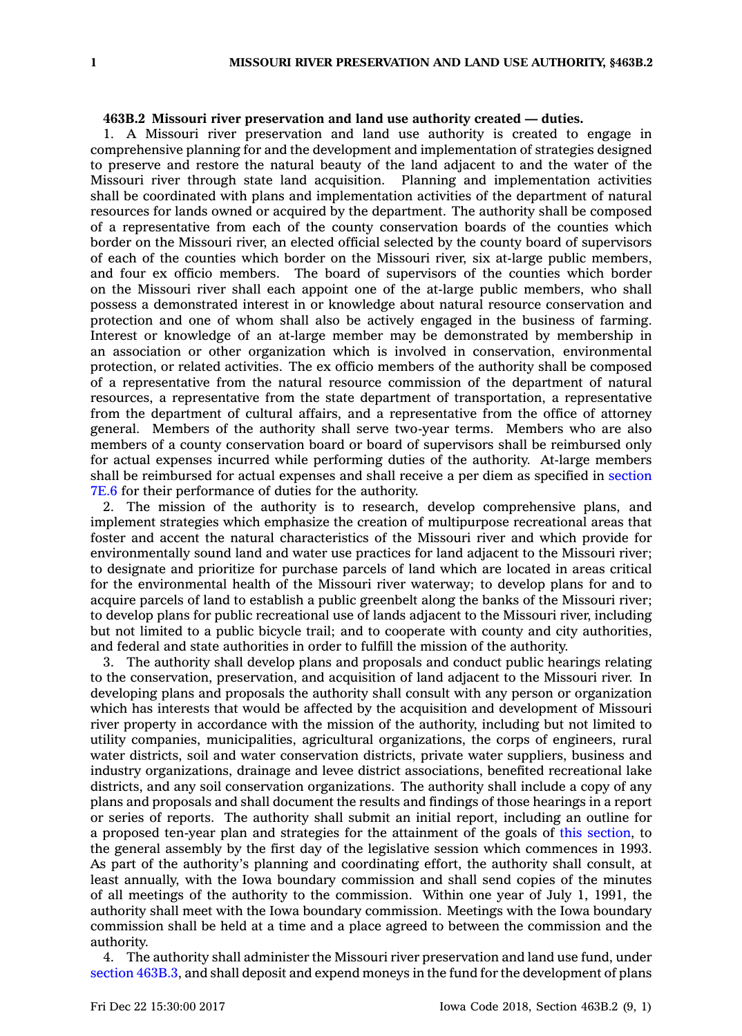## **463B.2 Missouri river preservation and land use authority created — duties.**

1. A Missouri river preservation and land use authority is created to engage in comprehensive planning for and the development and implementation of strategies designed to preserve and restore the natural beauty of the land adjacent to and the water of the Missouri river through state land acquisition. Planning and implementation activities shall be coordinated with plans and implementation activities of the department of natural resources for lands owned or acquired by the department. The authority shall be composed of <sup>a</sup> representative from each of the county conservation boards of the counties which border on the Missouri river, an elected official selected by the county board of supervisors of each of the counties which border on the Missouri river, six at-large public members, and four ex officio members. The board of supervisors of the counties which border on the Missouri river shall each appoint one of the at-large public members, who shall possess <sup>a</sup> demonstrated interest in or knowledge about natural resource conservation and protection and one of whom shall also be actively engaged in the business of farming. Interest or knowledge of an at-large member may be demonstrated by membership in an association or other organization which is involved in conservation, environmental protection, or related activities. The ex officio members of the authority shall be composed of <sup>a</sup> representative from the natural resource commission of the department of natural resources, <sup>a</sup> representative from the state department of transportation, <sup>a</sup> representative from the department of cultural affairs, and <sup>a</sup> representative from the office of attorney general. Members of the authority shall serve two-year terms. Members who are also members of <sup>a</sup> county conservation board or board of supervisors shall be reimbursed only for actual expenses incurred while performing duties of the authority. At-large members shall be reimbursed for actual expenses and shall receive <sup>a</sup> per diem as specified in [section](https://www.legis.iowa.gov/docs/code/7E.6.pdf) [7E.6](https://www.legis.iowa.gov/docs/code/7E.6.pdf) for their performance of duties for the authority.

2. The mission of the authority is to research, develop comprehensive plans, and implement strategies which emphasize the creation of multipurpose recreational areas that foster and accent the natural characteristics of the Missouri river and which provide for environmentally sound land and water use practices for land adjacent to the Missouri river; to designate and prioritize for purchase parcels of land which are located in areas critical for the environmental health of the Missouri river waterway; to develop plans for and to acquire parcels of land to establish <sup>a</sup> public greenbelt along the banks of the Missouri river; to develop plans for public recreational use of lands adjacent to the Missouri river, including but not limited to <sup>a</sup> public bicycle trail; and to cooperate with county and city authorities, and federal and state authorities in order to fulfill the mission of the authority.

3. The authority shall develop plans and proposals and conduct public hearings relating to the conservation, preservation, and acquisition of land adjacent to the Missouri river. In developing plans and proposals the authority shall consult with any person or organization which has interests that would be affected by the acquisition and development of Missouri river property in accordance with the mission of the authority, including but not limited to utility companies, municipalities, agricultural organizations, the corps of engineers, rural water districts, soil and water conservation districts, private water suppliers, business and industry organizations, drainage and levee district associations, benefited recreational lake districts, and any soil conservation organizations. The authority shall include <sup>a</sup> copy of any plans and proposals and shall document the results and findings of those hearings in <sup>a</sup> report or series of reports. The authority shall submit an initial report, including an outline for <sup>a</sup> proposed ten-year plan and strategies for the attainment of the goals of this [section](https://www.legis.iowa.gov/docs/code/463B.2.pdf), to the general assembly by the first day of the legislative session which commences in 1993. As part of the authority's planning and coordinating effort, the authority shall consult, at least annually, with the Iowa boundary commission and shall send copies of the minutes of all meetings of the authority to the commission. Within one year of July 1, 1991, the authority shall meet with the Iowa boundary commission. Meetings with the Iowa boundary commission shall be held at <sup>a</sup> time and <sup>a</sup> place agreed to between the commission and the authority.

4. The authority shall administer the Missouri river preservation and land use fund, under section [463B.3](https://www.legis.iowa.gov/docs/code/463B.3.pdf), and shall deposit and expend moneys in the fund for the development of plans